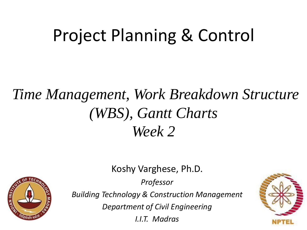# Project Planning & Control

## *Time Management, Work Breakdown Structure (WBS), Gantt Charts Week 2*

Koshy Varghese, Ph.D.

*Professor*



*Building Technology & Construction Management*

*Department of Civil Engineering*

*I.I.T. Madras*

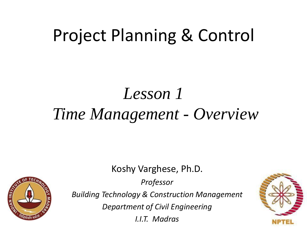# Project Planning & Control

## *Lesson 1 Time Management - Overview*

Koshy Varghese, Ph.D.

*Professor*



*Building Technology & Construction Management*

*Department of Civil Engineering*

*I.I.T. Madras*

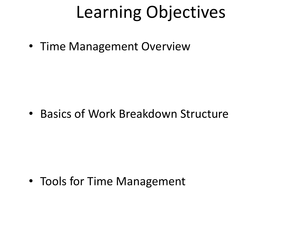# Learning Objectives

• Time Management Overview

• Basics of Work Breakdown Structure

• Tools for Time Management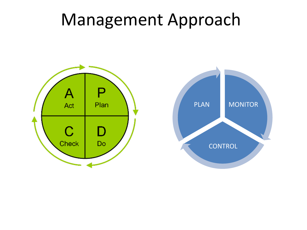## Management Approach



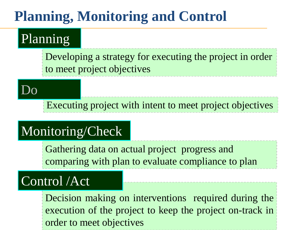### **Planning, Monitoring and Control**

#### Planning

Developing a strategy for executing the project in order to meet project objectives

Do

Executing project with intent to meet project objectives

### Monitoring/Check

Gathering data on actual project progress and comparing with plan to evaluate compliance to plan

### Control /Act

Decision making on interventions required during the execution of the project to keep the project on-track in order to meet objectives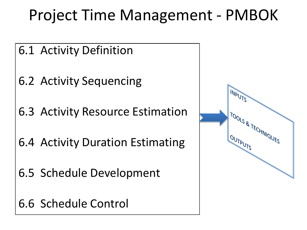## Project Time Management - PMBOK

- 6.1 Activity Definition
- 6.2 Activity Sequencing
- 6.3 Activity Resource Estimation
- 6.4 Activity Duration Estimating
- 6.5 Schedule Development
- 6.6 Schedule Control

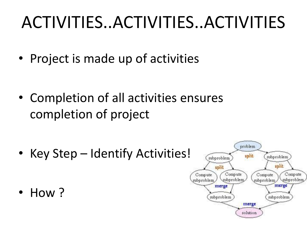# ACTIVITIES..ACTIVITIES..ACTIVITIES

• Project is made up of activities

• Completion of all activities ensures completion of project

• Key Step – Identify Activities!

• How ?